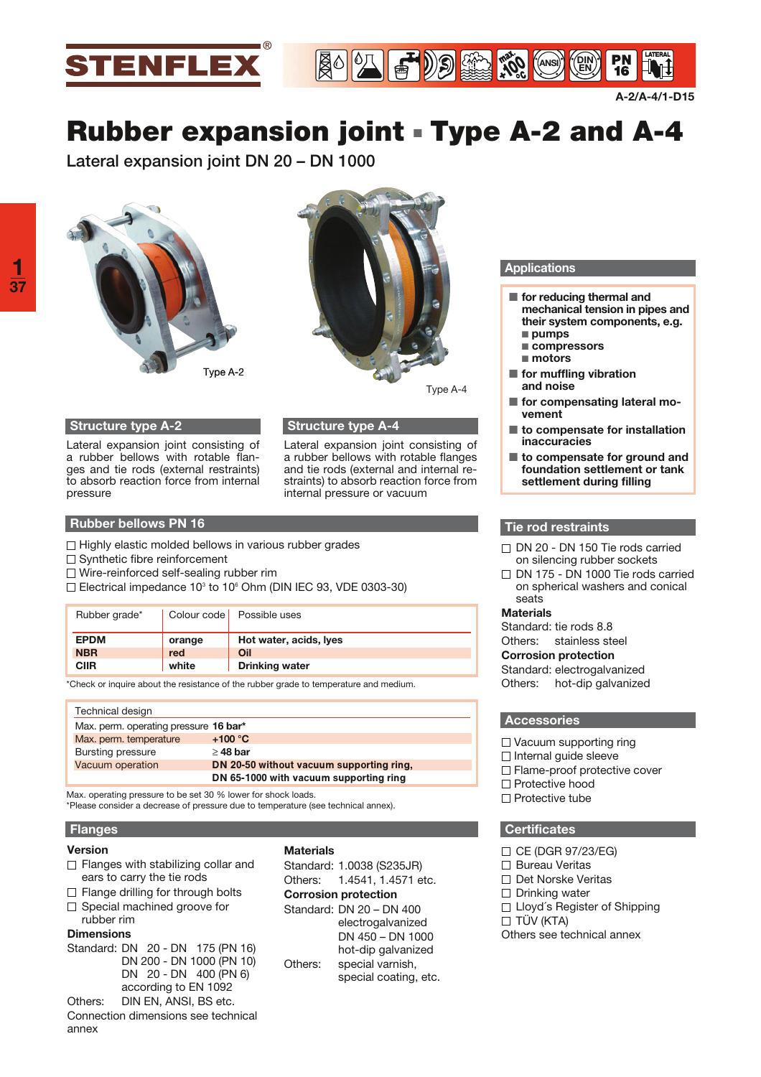

**A-2/A-4/1-D15**

 $16$ 

# **Rubber expansion joint - Type A-2 and A-4**

**Lateral expansion joint DN 20 – DN 1000** 





Type A-4

# **Structure type A-2**

Lateral expansion joint consisting of a rubber bellows with rotable flanges and tie rods (external restraints) to absorb reaction force from internal pressure

# **Structure type A-4**

Lateral expansion joint consisting of a rubber bellows with rotable flanges and tie rods (external and internal restraints) to absorb reaction force from internal pressure or vacuum

## **Rubber bellows PN 16**

- $\Box$  Highly elastic molded bellows in various rubber grades
- $\Box$  Synthetic fibre reinforcement
- Wire-reinforced self-sealing rubber rim
- Electrical impedance 10<sup>3</sup> to 10<sup>6</sup> Ohm (DIN IEC 93, VDE 0303-30)

| Rubber grade* |        | Colour code   Possible uses |
|---------------|--------|-----------------------------|
| <b>EPDM</b>   | orange | Hot water, acids, lyes      |
| <b>NBR</b>    | red    | Oil                         |
| CIIR          | white  | <b>Drinking water</b>       |

\*Check or inquire about the resistance of the rubber grade to temperature and medium.

| Technical design                      |                                          |  |  |  |  |
|---------------------------------------|------------------------------------------|--|--|--|--|
| Max. perm. operating pressure 16 bar* |                                          |  |  |  |  |
| Max. perm. temperature                | $+100 °C$                                |  |  |  |  |
| <b>Bursting pressure</b>              | $\geq$ 48 bar                            |  |  |  |  |
| Vacuum operation                      | DN 20-50 without vacuum supporting ring. |  |  |  |  |
|                                       | DN 65-1000 with vacuum supporting ring   |  |  |  |  |

**Max.** operating pressure to be set 30 % lower for shock loads. \*Please consider a decrease of pressure due to temperature (see technical annex).

## **Flanges**

#### **Version**

- $\Box$  Flanges with stabilizing collar and ears to carry the tie rods
- $\Box$  Flange drilling for through bolts  $\Box$  Special machined groove for
- rubber rim

# **Dimensions**

Standard: DN 20 - DN 175 (PN 16) DN 200 - DN 1000 (PN 10) DN 20 - DN 400 (PN 6) according to EN 1092

Others: DIN EN, ANSI, BS etc. Connection dimensions see technical annex

### **Materials**

Standard: 1.0038 (S235JR)

Others: 1.4541, 1.4571 etc.

**Corrosion protection**

Standard: DN 20 – DN 400 electrogalvanized DN 450 – DN 1000 hot-dip galvanized Others: special varnish, special coating, etc.

## **Applications**

**ANSI 100**° **DIN EN**

- $\blacksquare$  for reducing thermal and **mechanical tension in pipes and their system components, e.g.**  ■ pumps - **compressors**
- motors
- **Fig. 5 for muffling vibration and noise**
- $\blacksquare$  for compensating lateral mo**vement**
- to compensate for installation **inaccuracies**
- to compensate for ground and **foundation settlement or tank settlement during filling**

#### **Tie rod restraints**

- $\Box$  DN 20 DN 150 Tie rods carried on silencing rubber sockets
- DN 175 DN 1000 Tie rods carried  $\Box$ on spherical washers and conical seats

#### **Materials**

Standard: tie rods 8.8 Others: stainless steel **Corrosion protection** Standard: electrogalvanized Others: hot-dip galvanized

#### **Accessories**

- □ Vacuum supporting ring
- $\Box$  Internal guide sleeve
- □ Flame-proof protective cover
- □ Protective hood
- $\Box$  Protective tube

## **Certificates**

- $\Box$  CE (DGR 97/23/EG)
- □ Bureau Veritas
- Det Norske Veritas
- $\Box$  Drinking water
- $\Box$  Lloyd's Register of Shipping
- $\Box$  TÜV (KTA)
- Others see technical annex